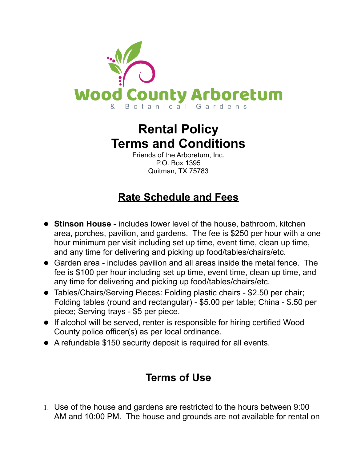

## **Rental Policy Terms and Conditions**

Friends of the Arboretum, Inc. P.O. Box 1395 Quitman, TX 75783

## **Rate Schedule and Fees**

- **Stinson House** includes lower level of the house, bathroom, kitchen area, porches, pavilion, and gardens. The fee is \$250 per hour with a one hour minimum per visit including set up time, event time, clean up time, and any time for delivering and picking up food/tables/chairs/etc.
- Garden area includes pavilion and all areas inside the metal fence. The fee is \$100 per hour including set up time, event time, clean up time, and any time for delivering and picking up food/tables/chairs/etc.
- Tables/Chairs/Serving Pieces: Folding plastic chairs \$2.50 per chair; Folding tables (round and rectangular) - \$5.00 per table; China - \$.50 per piece; Serving trays - \$5 per piece.
- If alcohol will be served, renter is responsible for hiring certified Wood County police officer(s) as per local ordinance.
- A refundable \$150 security deposit is required for all events.

## **Terms of Use**

1. Use of the house and gardens are restricted to the hours between 9:00 AM and 10:00 PM. The house and grounds are not available for rental on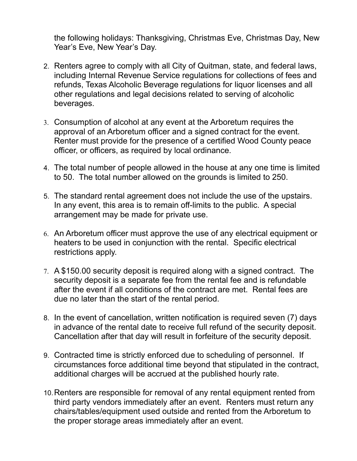the following holidays: Thanksgiving, Christmas Eve, Christmas Day, New Year's Eve, New Year's Day.

- 2. Renters agree to comply with all City of Quitman, state, and federal laws, including Internal Revenue Service regulations for collections of fees and refunds, Texas Alcoholic Beverage regulations for liquor licenses and all other regulations and legal decisions related to serving of alcoholic beverages.
- 3. Consumption of alcohol at any event at the Arboretum requires the approval of an Arboretum officer and a signed contract for the event. Renter must provide for the presence of a certified Wood County peace officer, or officers, as required by local ordinance.
- 4. The total number of people allowed in the house at any one time is limited to 50. The total number allowed on the grounds is limited to 250.
- 5. The standard rental agreement does not include the use of the upstairs. In any event, this area is to remain off-limits to the public. A special arrangement may be made for private use.
- 6. An Arboretum officer must approve the use of any electrical equipment or heaters to be used in conjunction with the rental. Specific electrical restrictions apply.
- 7. A \$150.00 security deposit is required along with a signed contract. The security deposit is a separate fee from the rental fee and is refundable after the event if all conditions of the contract are met. Rental fees are due no later than the start of the rental period.
- 8. In the event of cancellation, written notification is required seven (7) days in advance of the rental date to receive full refund of the security deposit. Cancellation after that day will result in forfeiture of the security deposit.
- 9. Contracted time is strictly enforced due to scheduling of personnel. If circumstances force additional time beyond that stipulated in the contract, additional charges will be accrued at the published hourly rate.
- 10.Renters are responsible for removal of any rental equipment rented from third party vendors immediately after an event. Renters must return any chairs/tables/equipment used outside and rented from the Arboretum to the proper storage areas immediately after an event.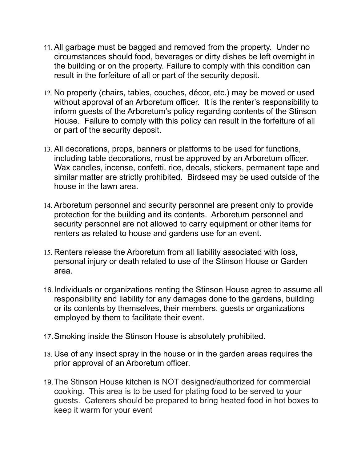- 11.All garbage must be bagged and removed from the property. Under no circumstances should food, beverages or dirty dishes be left overnight in the building or on the property. Failure to comply with this condition can result in the forfeiture of all or part of the security deposit.
- 12. No property (chairs, tables, couches, décor, etc.) may be moved or used without approval of an Arboretum officer. It is the renter's responsibility to inform guests of the Arboretum's policy regarding contents of the Stinson House. Failure to comply with this policy can result in the forfeiture of all or part of the security deposit.
- 13. All decorations, props, banners or platforms to be used for functions, including table decorations, must be approved by an Arboretum officer. Wax candles, incense, confetti, rice, decals, stickers, permanent tape and similar matter are strictly prohibited. Birdseed may be used outside of the house in the lawn area.
- 14. Arboretum personnel and security personnel are present only to provide protection for the building and its contents. Arboretum personnel and security personnel are not allowed to carry equipment or other items for renters as related to house and gardens use for an event.
- 15. Renters release the Arboretum from all liability associated with loss, personal injury or death related to use of the Stinson House or Garden area.
- 16.Individuals or organizations renting the Stinson House agree to assume all responsibility and liability for any damages done to the gardens, building or its contents by themselves, their members, guests or organizations employed by them to facilitate their event.
- 17.Smoking inside the Stinson House is absolutely prohibited.
- 18. Use of any insect spray in the house or in the garden areas requires the prior approval of an Arboretum officer.
- 19.The Stinson House kitchen is NOT designed/authorized for commercial cooking. This area is to be used for plating food to be served to your guests. Caterers should be prepared to bring heated food in hot boxes to keep it warm for your event